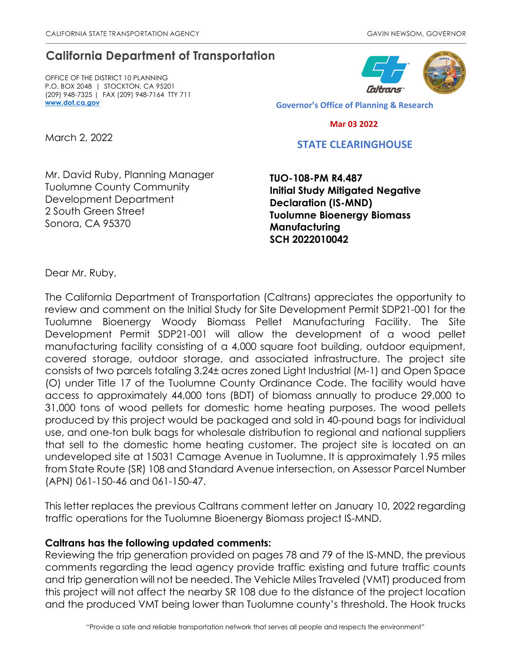## **California Department of Transportation**

OFFICE OF THE DISTRICT 10 PLANNING P.O. BOX 2048 | STOCKTON, CA 95201 (209) 948-7325 | FAX (209) 948-7164 TTY 711 **[www.dot.ca.gov](http://www.dot.ca.gov/)**



**Governor's Office of Planning & Research**

 **Mar 03 2022**

## **STATE CLEARINGHOUSE**

Mr. David Ruby, Planning Manager Tuolumne County Community Development Department 2 South Green Street Sonora, CA 95370

**TUO-108-PM R4.487 Initial Study Mitigated Negative Declaration (IS-MND) Tuolumne Bioenergy Biomass Manufacturing SCH 2022010042**

Dear Mr. Ruby,

March 2, 2022

The California Department of Transportation (Caltrans) appreciates the opportunity to review and comment on the Initial Study for Site Development Permit SDP21-001 for the Tuolumne Bioenergy Woody Biomass Pellet Manufacturing Facility. The Site Development Permit SDP21-001 will allow the development of a wood pellet manufacturing facility consisting of a 4,000 square foot building, outdoor equipment, covered storage, outdoor storage, and associated infrastructure. The project site consists of two parcels totaling 3.24± acres zoned Light Industrial (M-1) and Open Space (O) under Title 17 of the Tuolumne County Ordinance Code. The facility would have access to approximately 44,000 tons (BDT) of biomass annually to produce 29,000 to 31,000 tons of wood pellets for domestic home heating purposes. The wood pellets produced by this project would be packaged and sold in 40-pound bags for individual use, and one-ton bulk bags for wholesale distribution to regional and national suppliers that sell to the domestic home heating customer. The project site is located on an undeveloped site at 15031 Camage Avenue in Tuolumne. It is approximately 1.95 miles from State Route (SR) 108 and Standard Avenue intersection, on Assessor Parcel Number (APN) 061-150-46 and 061-150-47.

This letter replaces the previous Caltrans comment letter on January 10, 2022 regarding traffic operations for the Tuolumne Bioenergy Biomass project IS-MND.

## **Caltrans has the following updated comments:**

Reviewing the trip generation provided on pages 78 and 79 of the IS-MND, the previous comments regarding the lead agency provide traffic existing and future traffic counts and trip generation will not be needed. The Vehicle Miles Traveled (VMT) produced from this project will not affect the nearby SR 108 due to the distance of the project location and the produced VMT being lower than Tuolumne county's threshold. The Hook trucks